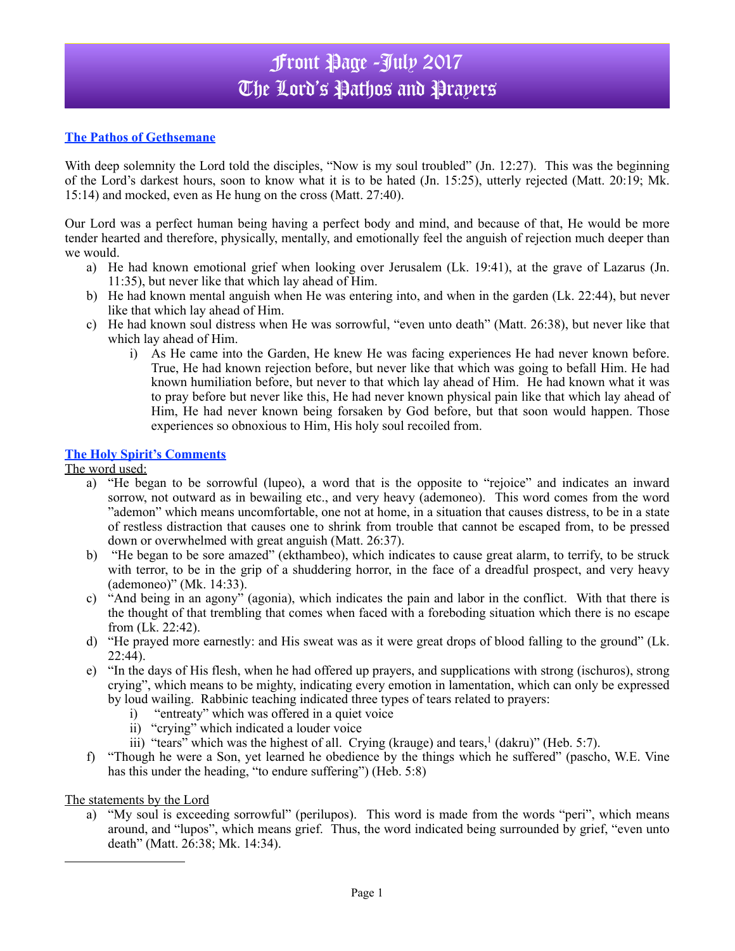# Front Page -July 2017 The Lord's Pathos and Prayers

## **The Pathos of Gethsemane**

With deep solemnity the Lord told the disciples, "Now is my soul troubled" (Jn. 12:27). This was the beginning of the Lord's darkest hours, soon to know what it is to be hated (Jn. 15:25), utterly rejected (Matt. 20:19; Mk. 15:14) and mocked, even as He hung on the cross (Matt. 27:40).

Our Lord was a perfect human being having a perfect body and mind, and because of that, He would be more tender hearted and therefore, physically, mentally, and emotionally feel the anguish of rejection much deeper than we would.

- a) He had known emotional grief when looking over Jerusalem (Lk. 19:41), at the grave of Lazarus (Jn. 11:35), but never like that which lay ahead of Him.
- b) He had known mental anguish when He was entering into, and when in the garden (Lk. 22:44), but never like that which lay ahead of Him.
- c) He had known soul distress when He was sorrowful, "even unto death" (Matt. 26:38), but never like that which lay ahead of Him.
	- i) As He came into the Garden, He knew He was facing experiences He had never known before. True, He had known rejection before, but never like that which was going to befall Him. He had known humiliation before, but never to that which lay ahead of Him. He had known what it was to pray before but never like this, He had never known physical pain like that which lay ahead of Him, He had never known being forsaken by God before, but that soon would happen. Those experiences so obnoxious to Him, His holy soul recoiled from.

#### **The Holy Spirit's Comments**

The word used:

- a) "He began to be sorrowful (lupeo), a word that is the opposite to "rejoice" and indicates an inward sorrow, not outward as in bewailing etc., and very heavy (ademoneo). This word comes from the word "ademon" which means uncomfortable, one not at home, in a situation that causes distress, to be in a state of restless distraction that causes one to shrink from trouble that cannot be escaped from, to be pressed down or overwhelmed with great anguish (Matt. 26:37).
- b) "He began to be sore amazed" (ekthambeo), which indicates to cause great alarm, to terrify, to be struck with terror, to be in the grip of a shuddering horror, in the face of a dreadful prospect, and very heavy (ademoneo)" (Mk. 14:33).
- c) "And being in an agony" (agonia), which indicates the pain and labor in the conflict. With that there is the thought of that trembling that comes when faced with a foreboding situation which there is no escape from (Lk. 22:42).
- d) "He prayed more earnestly: and His sweat was as it were great drops of blood falling to the ground" (Lk.  $22:44$ ).
- e) "In the days of His flesh, when he had offered up prayers, and supplications with strong (ischuros), strong crying", which means to be mighty, indicating every emotion in lamentation, which can only be expressed by loud wailing. Rabbinic teaching indicated three types of tears related to prayers:
	- i) "entreaty" which was offered in a quiet voice
	- ii) "crying" which indicated a louder voice
	- iii) "tears" which was the highest of all. Crying (krauge) and tears,  $\frac{1}{1}$  (dakru)" (Heb. 5:7).
- f) "Though he were a Son, yet learned he obedience by the things which he suffered" (pascho, W.E. Vine has this under the heading, "to endure suffering") (Heb. 5:8)

The statements by the Lord

a) "My soul is exceeding sorrowful" (perilupos). This word is made from the words "peri", which means around, and "lupos", which means grief. Thus, the word indicated being surrounded by grief, "even unto death" (Matt. 26:38; Mk. 14:34).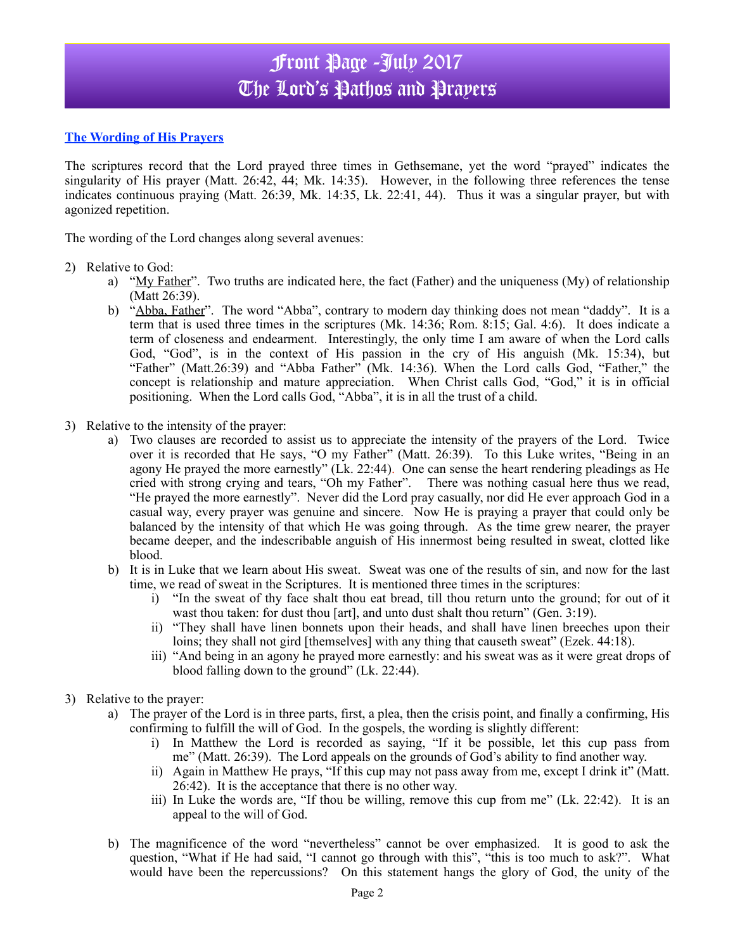# Front Page -July 2017 The Lord's Pathos and Prayers

### **The Wording of His Prayers**

The scriptures record that the Lord prayed three times in Gethsemane, yet the word "prayed" indicates the singularity of His prayer (Matt. 26:42, 44; Mk. 14:35). However, in the following three references the tense indicates continuous praying (Matt. 26:39, Mk. 14:35, Lk. 22:41, 44). Thus it was a singular prayer, but with agonized repetition.

The wording of the Lord changes along several avenues:

#### 2) Relative to God:

- a) "My Father". Two truths are indicated here, the fact (Father) and the uniqueness (My) of relationship (Matt 26:39).
- b) "Abba, Father". The word "Abba", contrary to modern day thinking does not mean "daddy". It is a term that is used three times in the scriptures (Mk. 14:36; Rom. 8:15; Gal. 4:6). It does indicate a term of closeness and endearment. Interestingly, the only time I am aware of when the Lord calls God, "God", is in the context of His passion in the cry of His anguish (Mk. 15:34), but "Father" (Matt.26:39) and "Abba Father" (Mk. 14:36). When the Lord calls God, "Father," the concept is relationship and mature appreciation. When Christ calls God, "God," it is in official positioning. When the Lord calls God, "Abba", it is in all the trust of a child.
- 3) Relative to the intensity of the prayer:
	- a) Two clauses are recorded to assist us to appreciate the intensity of the prayers of the Lord. Twice over it is recorded that He says, "O my Father" (Matt. 26:39). To this Luke writes, "Being in an agony He prayed the more earnestly" (Lk. 22:44). One can sense the heart rendering pleadings as He cried with strong crying and tears, "Oh my Father". There was nothing casual here thus we read, "He prayed the more earnestly". Never did the Lord pray casually, nor did He ever approach God in a casual way, every prayer was genuine and sincere. Now He is praying a prayer that could only be balanced by the intensity of that which He was going through. As the time grew nearer, the prayer became deeper, and the indescribable anguish of His innermost being resulted in sweat, clotted like blood.
	- b) It is in Luke that we learn about His sweat. Sweat was one of the results of sin, and now for the last time, we read of sweat in the Scriptures. It is mentioned three times in the scriptures:
		- i) "In the sweat of thy face shalt thou eat bread, till thou return unto the ground; for out of it wast thou taken: for dust thou [art], and unto dust shalt thou return" (Gen. 3:19).
		- ii) "They shall have linen bonnets upon their heads, and shall have linen breeches upon their loins; they shall not gird [themselves] with any thing that causeth sweat" (Ezek. 44:18).
		- iii) "And being in an agony he prayed more earnestly: and his sweat was as it were great drops of blood falling down to the ground" (Lk. 22:44).
- 3) Relative to the prayer:
	- a) The prayer of the Lord is in three parts, first, a plea, then the crisis point, and finally a confirming, His confirming to fulfill the will of God. In the gospels, the wording is slightly different:
		- i) In Matthew the Lord is recorded as saying, "If it be possible, let this cup pass from me" (Matt. 26:39). The Lord appeals on the grounds of God's ability to find another way.
		- ii) Again in Matthew He prays, "If this cup may not pass away from me, except I drink it" (Matt. 26:42). It is the acceptance that there is no other way.
		- iii) In Luke the words are, "If thou be willing, remove this cup from me" (Lk. 22:42). It is an appeal to the will of God.
	- b) The magnificence of the word "nevertheless" cannot be over emphasized. It is good to ask the question, "What if He had said, "I cannot go through with this", "this is too much to ask?". What would have been the repercussions? On this statement hangs the glory of God, the unity of the